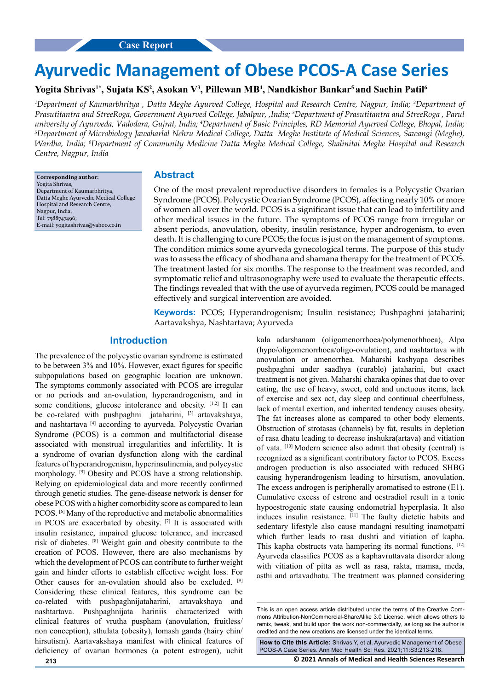# **Ayurvedic Management of Obese PCOS-A Case Series**

# Yogita Shrivas<sup>1\*</sup>, Sujata KS<sup>2</sup>, Asokan V<sup>3</sup>, Pillewan MB<sup>4</sup>, Nandkishor Bankar<sup>5</sup> and Sachin Patil<sup>6</sup>

*1 Department of Kaumarbhritya , Datta Meghe Ayurved College, Hospital and Research Centre, Nagpur, India; 2 Department of Prasutitantra and StreeRoga, Government Ayurved College, Jabalpur, ,India; 3 Department of Prasutitantra and StreeRoga , Parul*  university of Ayurveda, Vadodara, Gujrat, India; <sup>4</sup>Department of Basic Principles, RD Memorial Ayurved College, Bhopal, India;<br><sup>5</sup>Department of Microbiology Jawaharlal Nehru Medical College, Datta, Meghe Institute of Medi *Department of Microbiology Jawaharlal Nehru Medical College, Datta Meghe Institute of Medical Sciences, Sawangi (Meghe), Wardha, India; 6 Department of Community Medicine Datta Meghe Medical College, Shalinitai Meghe Hospital and Research Centre, Nagpur, India*

**Corresponding author:** Yogita Shrivas, Department of Kaumarbhritya, Datta Meghe Ayurvedic Medical College Hospital and Research Centre, Nagpur, India, Tel: 7588747496; E-mail: [yogitashrivas@yahoo.co.in](mailto:yogitashrivas@yahoo.co.in)

# **Abstract**

One of the most prevalent reproductive disorders in females is a Polycystic Ovarian Syndrome (PCOS). Polycystic Ovarian Syndrome (PCOS), affecting nearly 10% or more of women all over the world. PCOS is a significant issue that can lead to infertility and other medical issues in the future. The symptoms of PCOS range from irregular or absent periods, anovulation, obesity, insulin resistance, hyper androgenism, to even death. It is challenging to cure PCOS; the focus is just on the management of symptoms. The condition mimics some ayurveda gynecological terms. The purpose of this study was to assess the efficacy of shodhana and shamana therapy for the treatment of PCOS. The treatment lasted for six months. The response to the treatment was recorded, and symptomatic relief and ultrasonography were used to evaluate the therapeutic effects. The findings revealed that with the use of ayurveda regimen, PCOS could be managed effectively and surgical intervention are avoided.

**Keywords:** PCOS; Hyperandrogenism; Insulin resistance; Pushpaghni jataharini; Aartavakshya, Nashtartava; Ayurveda

# **Introduction**

The prevalence of the polycystic ovarian syndrome is estimated to be between 3% and 10%. However, exact figures for specific subpopulations based on geographic location are unknown. The symptoms commonly associated with PCOS are irregular or no periods and an-ovulation, hyperandrogenism, and in some conditions, glucose intolerance and obesity. [1,2] It can be co-related with pushpaghni jataharini, [3] artavakshaya, and nashtartava<sup>[4]</sup> according to ayurveda. Polycystic Ovarian Syndrome (PCOS) is a common and multifactorial disease associated with menstrual irregularities and infertility. It is a syndrome of ovarian dysfunction along with the cardinal features of hyperandrogenism, hyperinsulinemia, and polycystic morphology. [5] Obesity and PCOS have a strong relationship. Relying on epidemiological data and more recently confirmed through genetic studies. The gene-disease network is denser for obese PCOS with a higher comorbidity score as compared to lean PCOS. <sup>[6]</sup> Many of the reproductive and metabolic abnormalities in PCOS are exacerbated by obesity. [7] It is associated with insulin resistance, impaired glucose tolerance, and increased risk of diabetes. [8] Weight gain and obesity contribute to the creation of PCOS. However, there are also mechanisms by which the development of PCOS can contribute to further weight gain and hinder efforts to establish effective weight loss. For Other causes for an-ovulation should also be excluded. [9] Considering these clinical features, this syndrome can be co-related with pushpaghnijataharini, artavakshaya and nashtartava. Pushpaghnijata hariniis characterized with clinical features of vrutha puspham (anovulation, fruitless/ non conception), sthulata (obesity), lomash ganda (hairy chin/ hirsutism). Aartavakshaya manifest with clinical features of deficiency of ovarian hormones (a potent estrogen), uchit kala adarshanam (oligomenorrhoea/polymenorhhoea), Alpa (hypo/oligomenorrhoea/oligo-ovulation), and nashtartava with anovulation or amenorrhea. Maharshi kashyapa describes pushpaghni under saadhya (curable) jataharini, but exact treatment is not given. Maharshi charaka opines that due to over eating, the use of heavy, sweet, cold and unctuous items, lack of exercise and sex act, day sleep and continual cheerfulness, lack of mental exertion, and inherited tendency causes obesity. The fat increases alone as compared to other body elements. Obstruction of strotasas (channels) by fat, results in depletion of rasa dhatu leading to decrease inshukra(artava) and vitiation of vata. [10] Modern science also admit that obesity (central) is recognized as a significant contributory factor to PCOS. Excess androgen production is also associated with reduced SHBG causing hyperandrogenism leading to hirsutism, anovulation. The excess androgen is peripherally aromatised to estrone (E1). Cumulative excess of estrone and oestradiol result in a tonic hypoestrogenic state causing endometrial hyperplasia. It also induces insulin resistance. [11] The faulty dietetic habits and sedentary lifestyle also cause mandagni resulting inamotpatti which further leads to rasa dushti and vitiation of kapha. This kapha obstructs vata hampering its normal functions. [12] Ayurveda classifies PCOS as a kaphavruttavata disorder along with vitiation of pitta as well as rasa, rakta, mamsa, meda, asthi and artavadhatu. The treatment was planned considering

**How to Cite this Article:** Shrivas Y, et al. Ayurvedic Management of Obese PCOS-A Case Series. Ann Med Health Sci Res. 2021;11:S3:213-218.

**213 © 2021 Annals of Medical and Health Sciences Research** 

This is an open access article distributed under the terms of the Creative Commons Attribution-NonCommercial-ShareAlike 3.0 License, which allows others to remix, tweak, and build upon the work non‑commercially, as long as the author is credited and the new creations are licensed under the identical terms.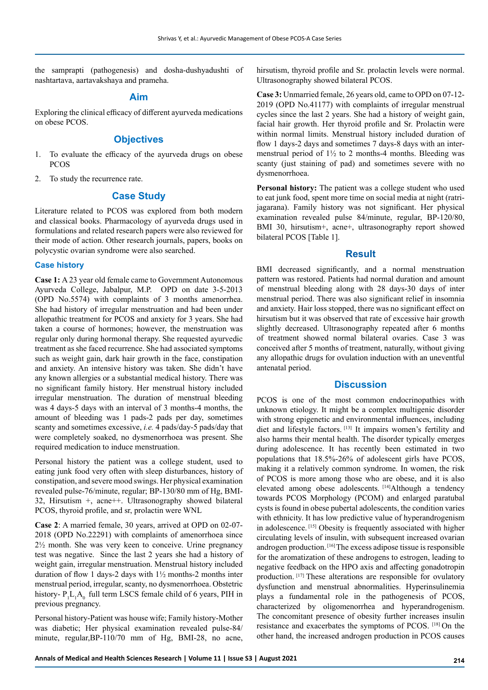the samprapti (pathogenesis) and dosha-dushyadushti of nashtartava, aartavakshaya and prameha.

# **Aim**

Exploring the clinical efficacy of different ayurveda medications on obese PCOS.

# **Objectives**

- 1. To evaluate the efficacy of the ayurveda drugs on obese PCOS
- 2. To study the recurrence rate.

# **Case Study**

Literature related to PCOS was explored from both modern and classical books. Pharmacology of ayurveda drugs used in formulations and related research papers were also reviewed for their mode of action. Other research journals, papers, books on polycystic ovarian syndrome were also searched.

#### **Case history**

**Case 1:** A 23 year old female came to Government Autonomous Ayurveda College, Jabalpur, M.P. OPD on date 3-5-2013 (OPD No.5574) with complaints of 3 months amenorrhea. She had history of irregular menstruation and had been under allopathic treatment for PCOS and anxiety for 3 years. She had taken a course of hormones; however, the menstruation was regular only during hormonal therapy. She requested ayurvedic treatment as she faced recurrence. She had associated symptoms such as weight gain, dark hair growth in the face, constipation and anxiety. An intensive history was taken. She didn't have any known allergies or a substantial medical history. There was no significant family history. Her menstrual history included irregular menstruation. The duration of menstrual bleeding was 4 days-5 days with an interval of 3 months-4 months, the amount of bleeding was 1 pads-2 pads per day, sometimes scanty and sometimes excessive, *i.e.* 4 pads/day-5 pads/day that were completely soaked, no dysmenorrhoea was present. She required medication to induce menstruation.

Personal history the patient was a college student, used to eating junk food very often with sleep disturbances, history of constipation, and severe mood swings. Her physical examination revealed pulse-76/minute, regular; BP-130/80 mm of Hg, BMI-32, Hirsutism +, acne++. Ultrasonography showed bilateral PCOS, thyroid profile, and sr, prolactin were WNL

**Case 2**: A married female, 30 years, arrived at OPD on 02-07- 2018 (OPD No.22291) with complaints of amenorrhoea since 2½ month. She was very keen to conceive. Urine pregnancy test was negative. Since the last 2 years she had a history of weight gain, irregular menstruation. Menstrual history included duration of flow 1 days-2 days with 1½ months-2 months inter menstrual period, irregular, scanty, no dysmenorrhoea. Obstetric history-  $P_1L_1A_0$  full term LSCS female child of 6 years, PIH in previous pregnancy.

Personal history-Patient was house wife; Family history-Mother was diabetic; Her physical examination revealed pulse-84/ minute, regular,BP-110/70 mm of Hg, BMI-28, no acne, hirsutism, thyroid profile and Sr. prolactin levels were normal. Ultrasonography showed bilateral PCOS.

**Case 3:** Unmarried female, 26 years old, came to OPD on 07-12- 2019 (OPD No.41177) with complaints of irregular menstrual cycles since the last 2 years. She had a history of weight gain, facial hair growth. Her thyroid profile and Sr. Prolactin were within normal limits. Menstrual history included duration of flow 1 days-2 days and sometimes 7 days-8 days with an intermenstrual period of  $1\frac{1}{2}$  to 2 months-4 months. Bleeding was scanty (just staining of pad) and sometimes severe with no dysmenorrhoea.

**Personal history:** The patient was a college student who used to eat junk food, spent more time on social media at night (ratrijagarana). Family history was not significant. Her physical examination revealed pulse 84/minute, regular, BP-120/80, BMI 30, hirsutism+, acne+, ultrasonography report showed bilateral PCOS [Table 1].

# **Result**

BMI decreased significantly, and a normal menstruation pattern was restored. Patients had normal duration and amount of menstrual bleeding along with 28 days-30 days of inter menstrual period. There was also significant relief in insomnia and anxiety. Hair loss stopped, there was no significant effect on hirsutism but it was observed that rate of excessive hair growth slightly decreased. Ultrasonography repeated after 6 months of treatment showed normal bilateral ovaries. Case 3 was conceived after 5 months of treatment, naturally, without giving any allopathic drugs for ovulation induction with an uneventful antenatal period.

# **Discussion**

PCOS is one of the most common endocrinopathies with unknown etiology. It might be a complex multigenic disorder with strong epigenetic and environmental influences, including diet and lifestyle factors. [13] It impairs women's fertility and also harms their mental health. The disorder typically emerges during adolescence. It has recently been estimated in two populations that 18.5%-26% of adolescent girls have PCOS, making it a relatively common syndrome. In women, the risk of PCOS is more among those who are obese, and it is also elevated among obese adolescents. [14]Although a tendency towards PCOS Morphology (PCOM) and enlarged paratubal cysts is found in obese pubertal adolescents, the condition varies with ethnicity. It has low predictive value of hyperandrogenism in adolescence. [15] Obesity is frequently associated with higher circulating levels of insulin, with subsequent increased ovarian androgen production. [16] The excess adipose tissue is responsible for the aromatization of these androgens to estrogen, leading to negative feedback on the HPO axis and affecting gonadotropin production. [17] These alterations are responsible for ovulatory dysfunction and menstrual abnormalities. Hyperinsulinemia plays a fundamental role in the pathogenesis of PCOS, characterized by oligomenorrhea and hyperandrogenism. The concomitant presence of obesity further increases insulin resistance and exacerbates the symptoms of PCOS. [18] On the other hand, the increased androgen production in PCOS causes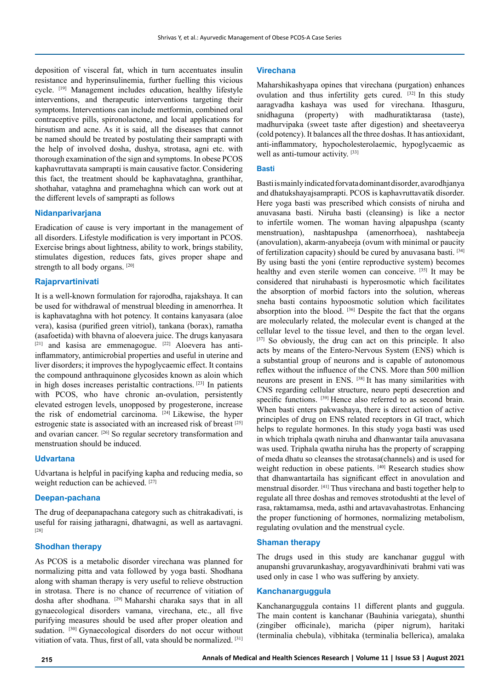deposition of visceral fat, which in turn accentuates insulin resistance and hyperinsulinemia, further fuelling this vicious cycle. [19] Management includes education, healthy lifestyle interventions, and therapeutic interventions targeting their symptoms. Interventions can include metformin, combined oral contraceptive pills, spironolactone, and local applications for hirsutism and acne. As it is said, all the diseases that cannot be named should be treated by postulating their samprapti with the help of involved dosha, dushya, strotasa, agni etc. with thorough examination of the sign and symptoms. In obese PCOS kaphavruttavata samprapti is main causative factor. Considering this fact, the treatment should be kaphavataghna, granthihar, shothahar, vataghna and pramehaghna which can work out at the different levels of samprapti as follows

#### **Nidanparivarjana**

Eradication of cause is very important in the management of all disorders. Lifestyle modification is very important in PCOS. Exercise brings about lightness, ability to work, brings stability, stimulates digestion, reduces fats, gives proper shape and strength to all body organs. [20]

# **Rajaprvartinivati**

It is a well-known formulation for rajorodha, rajakshaya. It can be used for withdrawal of menstrual bleeding in amenorrhea. It is kaphavataghna with hot potency. It contains kanyasara (aloe vera), kasisa (purified green vitriol), tankana (borax), ramatha (asafoetida) with bhavna of aloevera juice. The drugs kanyasara [21] and kasisa are emmenagogue. [22] Aloevera has antiinflammatory, antimicrobial properties and useful in uterine and liver disorders; it improves the hypoglycaemic effect. It contains the compound anthraquinone glycosides known as aloin which in high doses increases peristaltic contractions. [23] In patients with PCOS, who have chronic an-ovulation, persistently elevated estrogen levels, unopposed by progesterone, increase the risk of endometrial carcinoma. [24] Likewise, the hyper estrogenic state is associated with an increased risk of breast [25] and ovarian cancer. [26] So regular secretory transformation and menstruation should be induced.

#### **Udvartana**

Udvartana is helpful in pacifying kapha and reducing media, so weight reduction can be achieved. [27]

#### **Deepan-pachana**

The drug of deepanapachana category such as chitrakadivati, is useful for raising jatharagni, dhatwagni, as well as aartavagni. [28]

# **Shodhan therapy**

As PCOS is a metabolic disorder virechana was planned for normalizing pitta and vata followed by yoga basti. Shodhana along with shaman therapy is very useful to relieve obstruction in strotasa. There is no chance of recurrence of vitiation of dosha after shodhana. [29] Maharshi charaka says that in all gynaecological disorders vamana, virechana, etc., all five purifying measures should be used after proper oleation and sudation. [30] Gynaecological disorders do not occur without vitiation of vata. Thus, first of all, vata should be normalized. [31]

#### **Virechana**

Maharshikashyapa opines that virechana (purgation) enhances ovulation and thus infertility gets cured. [32] In this study aaragvadha kashaya was used for virechana. Ithasguru, snidhaguna (property) with madhuratiktarasa (taste), madhurvipaka (sweet taste after digestion) and sheetaveerya (cold potency). It balances all the three doshas. It has antioxidant, anti-inflammatory, hypocholesterolaemic, hypoglycaemic as well as anti-tumour activity. [33]

#### **Basti**

Basti is mainly indicated forvata dominant disorder, avarodhjanya and dhatukshayajsamprapti. PCOS is kaphavruttavatik disorder. Here yoga basti was prescribed which consists of niruha and anuvasana basti. Niruha basti (cleansing) is like a nector to infertile women. The woman having alpapushpa (scanty menstruation), nashtapushpa (amenorrhoea), nashtabeeja (anovulation), akarm-anyabeeja (ovum with minimal or paucity of fertilization capacity) should be cured by anuvasana basti. [34] By using basti the yoni (entire reproductive system) becomes healthy and even sterile women can conceive. [35] It may be considered that niruhabasti is hyperosmotic which facilitates the absorption of morbid factors into the solution, whereas sneha basti contains hypoosmotic solution which facilitates absorption into the blood. [36] Despite the fact that the organs are molecularly related, the molecular event is changed at the cellular level to the tissue level, and then to the organ level. [37] So obviously, the drug can act on this principle. It also acts by means of the Entero-Nervous System (ENS) which is a substantial group of neurons and is capable of autonomous reflex without the influence of the CNS. More than 500 million neurons are present in ENS. [38] It has many similarities with CNS regarding cellular structure, neuro pepti desecretion and specific functions. <sup>[39]</sup> Hence also referred to as second brain. When basti enters pakwashaya, there is direct action of active principles of drug on ENS related receptors in GI tract, which helps to regulate hormones. In this study yoga basti was used in which triphala qwath niruha and dhanwantar taila anuvasana was used. Triphala qwatha niruha has the property of scrapping of meda dhatu so cleanses the strotasa(channels) and is used for weight reduction in obese patients. [40] Research studies show that dhanwantartaila has significant effect in anovulation and menstrual disorder. [41] Thus virechana and basti together help to regulate all three doshas and removes strotodushti at the level of rasa, raktamamsa, meda, asthi and artavavahastrotas. Enhancing the proper functioning of hormones, normalizing metabolism, regulating ovulation and the menstrual cycle.

#### **Shaman therapy**

The drugs used in this study are kanchanar guggul with anupanshi gruvarunkashay, arogyavardhinivati brahmi vati was used only in case 1 who was suffering by anxiety.

#### **Kanchanarguggula**

Kanchanarguggula contains 11 different plants and guggula. The main content is kanchanar (Bauhinia variegata), shunthi (zingiber officinale), maricha (piper nigrum), haritaki (terminalia chebula), vibhitaka (terminalia bellerica), amalaka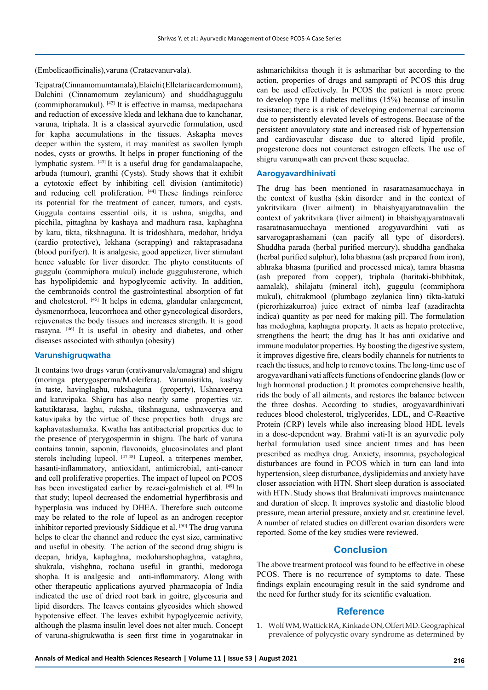(Embelicaofficinalis),varuna (Crataevanurvala).

Tejpatra (Cinnamomumtamala), Elaichi (Elletariacardemomum), Dalchini (Cinnamomum zeylanicum) and shuddhaguggulu (commiphoramukul).  $[42]$  It is effective in mamsa, medapachana and reduction of excessive kleda and lekhana due to kanchanar, varuna, triphala. It is a classical ayurvedic formulation, used for kapha accumulations in the tissues. Askapha moves deeper within the system, it may manifest as swollen lymph nodes, cysts or growths. It helps in proper functioning of the lymphatic system. [43] It is a useful drug for gandamalaapache, arbuda (tumour), granthi (Cysts). Study shows that it exhibit a cytotoxic effect by inhibiting cell division (antimitotic) and reducing cell proliferation. [44] These findings reinforce its potential for the treatment of cancer, tumors, and cysts. Guggula contains essential oils, it is ushna, snigdha, and picchila, pittaghna by kashaya and madhura rasa, kaphaghna by katu, tikta, tikshnaguna. It is tridoshhara, medohar, hridya (cardio protective), lekhana (scrapping) and raktaprasadana (blood purifyer). It is analgesic, good appetizer, liver stimulant hence valuable for liver disorder. The phyto constituents of guggulu (commiphora mukul) include guggulusterone, which has hypolipidemic and hypoglycemic activity. In addition, the cembranoids control the gastrointestinal absorption of fat and cholesterol. [45] It helps in edema, glandular enlargement, dysmenorrhoea, leucorrhoea and other gynecological disorders, rejuvenates the body tissues and increases strength. It is good rasayna. [46] It is useful in obesity and diabetes, and other diseases associated with sthaulya (obesity)

# **Varunshigruqwatha**

It contains two drugs varun (crativanurvala/cmagna) and shigru (moringa pterygosperma/M.oleifera). Varunaistikta, kashay in taste, havinglaghu, rukshaguna (property), Ushnaveerya and katuvipaka. Shigru has also nearly same properties *viz*. katutiktarasa, laghu, ruksha, tikshnaguna, ushnaveerya and katuvipaka by the virtue of these properties both drugs are kaphavatashamaka. Kwatha has antibacterial properties due to the presence of pterygospermin in shigru. The bark of varuna contains tannin, saponin, flavonoids, glucosinolates and plant sterols including lupeol. [47,48] Lupeol, a triterpenes member, hasanti-inflammatory, antioxidant, antimicrobial, anti-cancer and cell proliferative properties. The impact of lupeol on PCOS has been investigated earlier by rezaei-golmisheh et al. [49] In that study; lupeol decreased the endometrial hyperfibrosis and hyperplasia was induced by DHEA. Therefore such outcome may be related to the role of lupeol as an androgen receptor inhibitor reported previously Siddique et al. [50] The drug varuna helps to clear the channel and reduce the cyst size, carminative and useful in obesity. The action of the second drug shigru is deepan, hridya, kaphaghna, medoharshophaghna, vataghna, shukrala, vishghna, rochana useful in granthi, medoroga shopha. It is analgesic and anti-inflammatory. Along with other therapeutic applications ayurved pharmacopia of India indicated the use of dried root bark in goitre, glycosuria and lipid disorders. The leaves contains glycosides which showed hypotensive effect. The leaves exhibit hypoglycemic activity, although the plasma insulin level does not alter much. Concept of varuna-shigrukwatha is seen first time in yogaratnakar in ashmarichikitsa though it is ashmarihar but according to the action, properties of drugs and samprapti of PCOS this drug can be used effectively. In PCOS the patient is more prone to develop type II diabetes mellitus (15%) because of insulin resistance; there is a risk of developing endometrial carcinoma due to persistently elevated levels of estrogens. Because of the persistent anovulatory state and increased risk of hypertension and cardiovascular disease due to altered lipid profile, progesterone does not counteract estrogen effects. The use of shigru varunqwath can prevent these sequelae.

#### **Aarogyavardhinivati**

The drug has been mentioned in rasaratnasamucchaya in the context of kustha (skin disorder and in the context of yakritvikara (liver ailment) in bhaishyajyaratnavaliin the context of yakritvikara (liver ailment) in bhaishyajyaratnavali rasaratnasamucchaya mentioned arogyavardhini vati as sarvarogaprashamani (can pacify all type of disorders). Shuddha parada (herbal purified mercury), shuddha gandhaka (herbal purified sulphur), loha bhasma (ash prepared from iron), abhraka bhasma (purified and processed mica), tamra bhasma (ash prepared from copper), triphala (haritaki-bhibhitak, aamalak), shilajatu (mineral itch), guggulu (commiphora mukul), chitrakmool (plumbago zeylanica linn) tikta-katuki (picrorhizakurroa) juice extract of nimba leaf (azadirachta indica) quantity as per need for making pill. The formulation has medoghna, kaphagna property. It acts as hepato protective, strengthens the heart; the drug has It has anti oxidative and immune modulator properties. By boosting the digestive system, it improves digestive fire, clears bodily channels for nutrients to reach the tissues, and help to remove toxins. The long-time use of arogyavardhani vati affects functions of endocrine glands (low or high hormonal production.) It promotes comprehensive health, rids the body of all ailments, and restores the balance between the three doshas. According to studies, arogyavardhinivati reduces blood cholesterol, triglycerides, LDL, and C-Reactive Protein (CRP) levels while also increasing blood HDL levels in a dose-dependent way. Brahmi vati-It is an ayurvedic poly herbal formulation used since ancient times and has been prescribed as medhya drug. Anxiety, insomnia, psychological disturbances are found in PCOS which in turn can land into hypertension, sleep disturbance, dyslipidemias and anxiety have closer association with HTN. Short sleep duration is associated with HTN. Study shows that Brahmivati improves maintenance and duration of sleep. It improves systolic and diastolic blood pressure, mean arterial pressure, anxiety and sr. creatinine level. A number of related studies on different ovarian disorders were reported. Some of the key studies were reviewed.

# **Conclusion**

The above treatment protocol was found to be effective in obese PCOS. There is no recurrence of symptoms to date. These findings explain encouraging result in the said syndrome and the need for further study for its scientific evaluation.

# **Reference**

1. Wolf WM, Wattick RA, Kinkade ON, Olfert MD. Geographical prevalence of polycystic ovary syndrome as determined by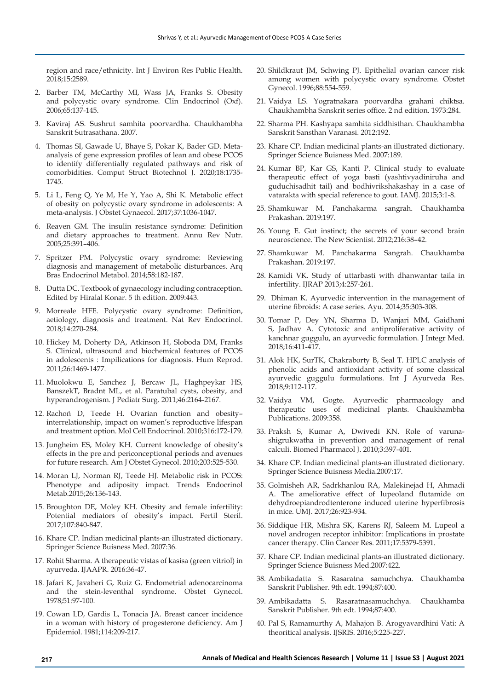region and race/ethnicity. Int J Environ Res Public Health. 2018;15:2589.

- 2. Barber TM, McCarthy MI, Wass JA, Franks S. Obesity and polycystic ovary syndrome. Clin Endocrinol (Oxf). 2006;65:137-145.
- 3. Kaviraj AS. Sushrut samhita poorvardha. Chaukhambha Sanskrit Sutrasathana. 2007.
- 4. Thomas SI, Gawade U, Bhaye S, Pokar K, Bader GD. Metaanalysis of gene expression profiles of lean and obese PCOS to identify differentially regulated pathways and risk of comorbidities. Comput Struct Biotechnol J. 2020;18:1735- 1745.
- 5. Li L, Feng Q, Ye M, He Y, Yao A, Shi K. Metabolic effect of obesity on polycystic ovary syndrome in adolescents: A meta-analysis. J Obstet Gynaecol. 2017;37:1036-1047.
- 6. Reaven GM. The insulin resistance syndrome: Definition and dietary approaches to treatment. Annu Rev Nutr. 2005;25:391–406.
- 7. Spritzer PM. Polycystic ovary syndrome: Reviewing diagnosis and management of metabolic disturbances. Arq Bras Endocrinol Metabol. 2014;58:182-187.
- 8. Dutta DC. Textbook of gynaecology including contraception. Edited by Hiralal Konar. 5 th edition. 2009:443.
- 9. Morreale HFE. Polycystic ovary syndrome: Definition, aetiology, diagnosis and treatment. Nat Rev Endocrinol. 2018;14:270-284.
- 10. Hickey M, Doherty DA, Atkinson H, Sloboda DM, Franks S. Clinical, ultrasound and biochemical features of PCOS in adolescents : Impilications for diagnosis. Hum Reprod. 2011;26:1469-1477.
- 11. Muolokwu E, Sanchez J, Bercaw JL, Haghpeykar HS, BanszekT, Bradnt ML, et al. Paratubal cysts, obesity, and hyperandrogenism. J Pediatr Surg. 2011;46:2164-2167.
- 12. Rachoń D, Teede H. Ovarian function and obesity– interrelationship, impact on women's reproductive lifespan and treatment option. Mol Cell Endocrinol. 2010;316:172-179.
- 13. Jungheim ES, Moley KH. Current knowledge of obesity's effects in the pre and periconceptional periods and avenues for future research. Am J Obstet Gynecol. 2010;203:525-530.
- 14. Moran LJ, Norman RJ, Teede HJ. Metabolic risk in PCOS: Phenotype and adiposity impact. Trends Endocrinol Metab.2015;26:136-143.
- 15. Broughton DE, Moley KH. Obesity and female infertility: Potential mediators of obesity's impact. Fertil Steril. 2017;107:840-847.
- 16. Khare CP. Indian medicinal plants-an illustrated dictionary. Springer Science Buisness Med. 2007:36.
- 17. Rohit Sharma. A therapeutic vistas of kasisa (green vitriol) in ayurveda. IJAAPR. 2016:36-47.
- 18. Jafari K, Javaheri G, Ruiz G. Endometrial adenocarcinoma and the stein-leventhal syndrome. Obstet Gynecol. 1978;51:97-100.
- 19. Cowan LD, Gardis L, Tonacia JA. Breast cancer incidence in a woman with history of progesterone deficiency. Am J Epidemiol. 1981;114:209-217.
- 20. Shildkraut JM, Schwing PJ. Epithelial ovarian cancer risk among women with polycystic ovary syndrome. Obstet Gynecol. 1996;88:554-559.
- 21. Vaidya LS. Yogratnakara poorvardha grahani chiktsa. Chaukhambha Sanskrit series office. 2 nd edition. 1973:284.
- 22. Sharma PH. Kashyapa samhita siddhisthan. Chaukhambha Sanskrit Sansthan Varanasi. 2012:192.
- 23. Khare CP. Indian medicinal plants-an illustrated dictionary. Springer Science Buisness Med. 2007:189.
- 24. Kumar BP, Kar GS, Kanti P. Clinical study to evaluate therapeutic effect of yoga basti (yashtivyadiniruha and guduchisadhit tail) and bodhivrikshakashay in a case of vatarakta with special reference to gout. IAMJ. 2015;3:1-8.
- 25. Shamkuwar M. Panchakarma sangrah. Chaukhamba Prakashan. 2019:197.
- 26. Young E. Gut instinct; the secrets of your second brain neuroscience. The New Scientist. 2012;216:38–42.
- 27. Shamkuwar M. Panchakarma Sangrah. Chaukhamba Prakashan. 2019:197.
- 28. Kamidi VK. Study of uttarbasti with dhanwantar taila in infertility. IJRAP 2013;4:257-261.
- 29. Dhiman K. Ayurvedic intervention in the management of uterine fibroids: A case series. Ayu. 2014;35:303-308.
- 30. Tomar P, Dey YN, Sharma D, Wanjari MM, Gaidhani S, Jadhav A. Cytotoxic and antiproliferative activity of kanchnar guggulu, an ayurvedic formulation. J Integr Med. 2018;16:411-417.
- 31. Alok HK, SurTK, Chakraborty B, Seal T. HPLC analysis of phenolic acids and antioxidant activity of some classical ayurvedic guggulu formulations. Int J Ayurveda Res. 2018;9:112-117.
- 32. Vaidya VM, Gogte. Ayurvedic pharmacology and therapeutic uses of medicinal plants. Chaukhambha Publications. 2009:358.
- 33. Praksh S, Kumar A, Dwivedi KN. Role of varunashigrukwatha in prevention and management of renal calculi. Biomed Pharmacol J. 2010;3:397-401.
- 34. Khare CP. Indian medicinal plants-an illustrated dictionary. Springer Science Buisness Media.2007:17.
- 35. Golmisheh AR, Sadrkhanlou RA, Malekinejad H, Ahmadi A. The ameliorative effect of lupeoland flutamide on dehydroepiandrodtenterone induced uterine hyperfibrosis in mice. UMJ. 2017;26:923-934.
- 36. Siddique HR, Mishra SK, Karens RJ, Saleem M. Lupeol a novel androgen receptor inhibitor: Implications in prostate cancer therapy. Clin Cancer Res. 2011;17:5379-5391.
- 37. Khare CP. Indian medicinal plants-an illustrated dictionary. Springer Science Buisness Med.2007:422.
- 38. Ambikadatta S. Rasaratna samuchchya. Chaukhamba Sanskrit Publisher. 9th edt. 1994;87:400.
- 39. Ambikadatta S. Rasaratnasamuchchya. Chaukhamba Sanskrit Publisher. 9th edt. 1994;87:400.
- 40. Pal S, Ramamurthy A, Mahajon B. Arogyavardhini Vati: A theoritical analysis. IJSRIS. 2016;5:225-227.